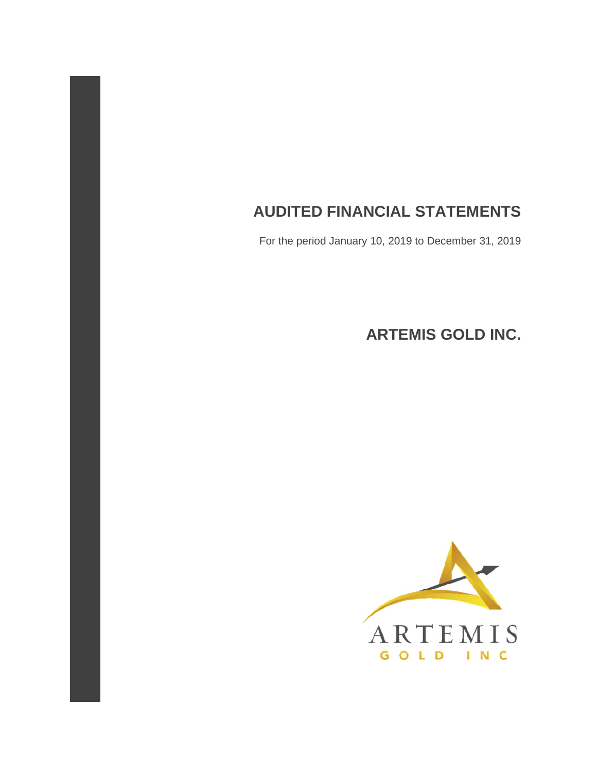# **AUDITED FINANCIAL STATEMENTS**

For the period January 10, 2019 to December 31, 2019

**ARTEMIS GOLD INC.** 

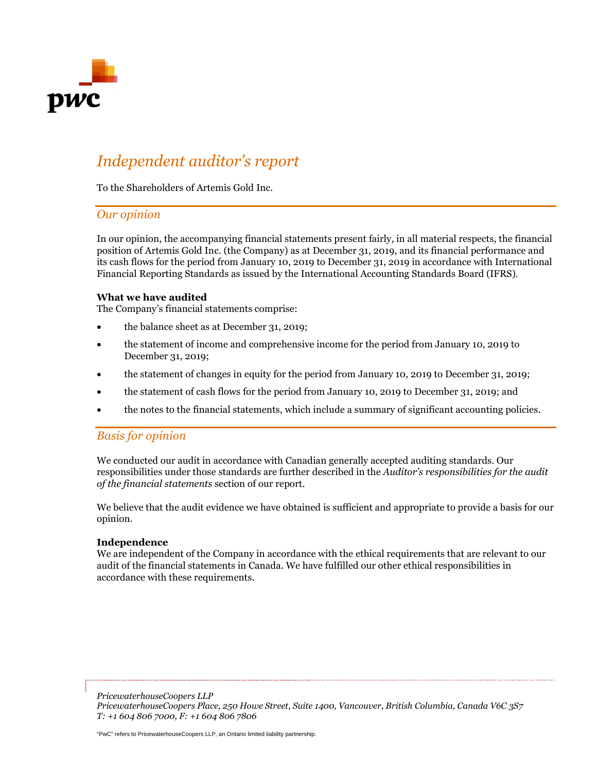

# *Independent auditor's report*

To the Shareholders of Artemis Gold Inc.

## *Our opinion*

In our opinion, the accompanying financial statements present fairly, in all material respects, the financial position of Artemis Gold Inc. (the Company) as at December 31, 2019, and its financial performance and its cash flows for the period from January 10, 2019 to December 31, 2019 in accordance with International Financial Reporting Standards as issued by the International Accounting Standards Board (IFRS).

### **What we have audited**

The Company's financial statements comprise:

- the balance sheet as at December 31, 2019;
- the statement of income and comprehensive income for the period from January 10, 2019 to December 31, 2019;
- the statement of changes in equity for the period from January 10, 2019 to December 31, 2019;
- the statement of cash flows for the period from January 10, 2019 to December 31, 2019; and
- the notes to the financial statements, which include a summary of significant accounting policies.

## *Basis for opinion*

We conducted our audit in accordance with Canadian generally accepted auditing standards. Our responsibilities under those standards are further described in the *Auditor's responsibilities for the audit of the financial statements* section of our report.

We believe that the audit evidence we have obtained is sufficient and appropriate to provide a basis for our opinion.

#### **Independence**

We are independent of the Company in accordance with the ethical requirements that are relevant to our audit of the financial statements in Canada. We have fulfilled our other ethical responsibilities in accordance with these requirements.

*PricewaterhouseCoopers LLP PricewaterhouseCoopers Place, 250 Howe Street, Suite 1400, Vancouver, British Columbia, Canada V6C 3S7 T: +1 604 806 7000, F: +1 604 806 7806*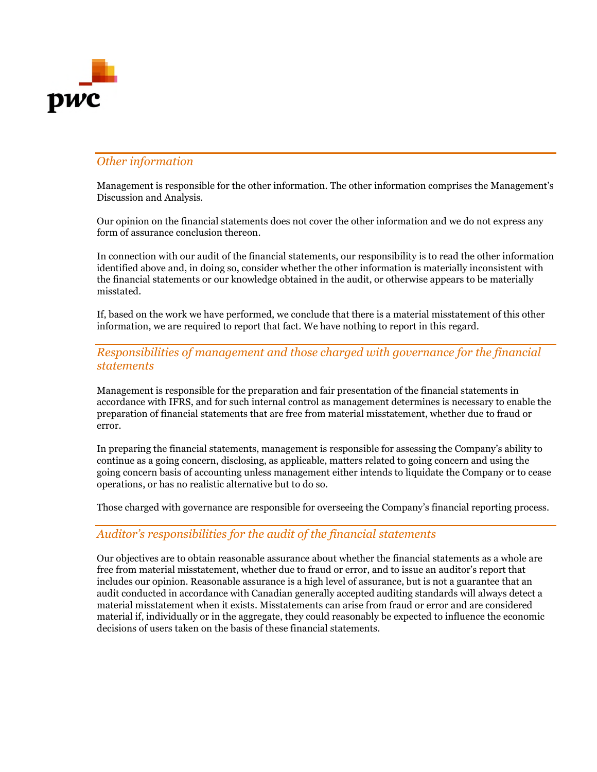

## *Other information*

Management is responsible for the other information. The other information comprises the Management's Discussion and Analysis.

Our opinion on the financial statements does not cover the other information and we do not express any form of assurance conclusion thereon.

In connection with our audit of the financial statements, our responsibility is to read the other information identified above and, in doing so, consider whether the other information is materially inconsistent with the financial statements or our knowledge obtained in the audit, or otherwise appears to be materially misstated.

If, based on the work we have performed, we conclude that there is a material misstatement of this other information, we are required to report that fact. We have nothing to report in this regard.

## *Responsibilities of management and those charged with governance for the financial statements*

Management is responsible for the preparation and fair presentation of the financial statements in accordance with IFRS, and for such internal control as management determines is necessary to enable the preparation of financial statements that are free from material misstatement, whether due to fraud or error.

In preparing the financial statements, management is responsible for assessing the Company's ability to continue as a going concern, disclosing, as applicable, matters related to going concern and using the going concern basis of accounting unless management either intends to liquidate the Company or to cease operations, or has no realistic alternative but to do so.

Those charged with governance are responsible for overseeing the Company's financial reporting process.

## *Auditor's responsibilities for the audit of the financial statements*

Our objectives are to obtain reasonable assurance about whether the financial statements as a whole are free from material misstatement, whether due to fraud or error, and to issue an auditor's report that includes our opinion. Reasonable assurance is a high level of assurance, but is not a guarantee that an audit conducted in accordance with Canadian generally accepted auditing standards will always detect a material misstatement when it exists. Misstatements can arise from fraud or error and are considered material if, individually or in the aggregate, they could reasonably be expected to influence the economic decisions of users taken on the basis of these financial statements.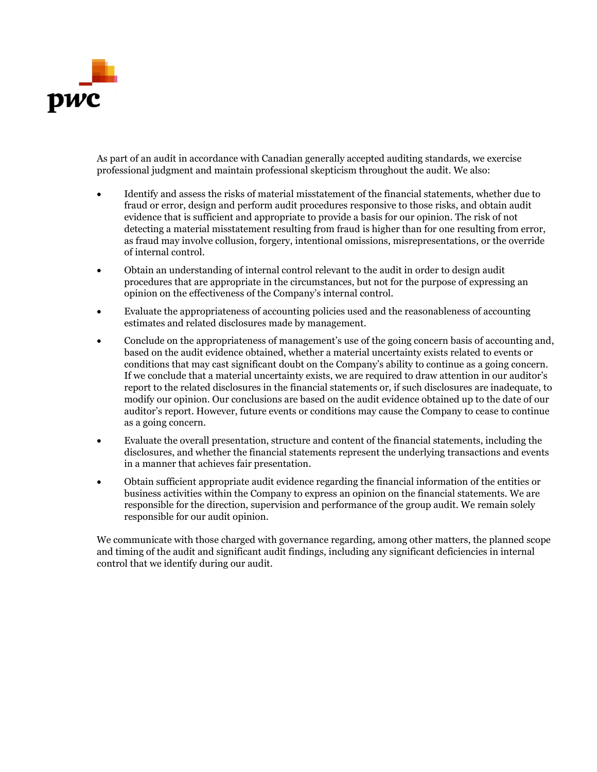

As part of an audit in accordance with Canadian generally accepted auditing standards, we exercise professional judgment and maintain professional skepticism throughout the audit. We also:

- Identify and assess the risks of material misstatement of the financial statements, whether due to fraud or error, design and perform audit procedures responsive to those risks, and obtain audit evidence that is sufficient and appropriate to provide a basis for our opinion. The risk of not detecting a material misstatement resulting from fraud is higher than for one resulting from error, as fraud may involve collusion, forgery, intentional omissions, misrepresentations, or the override of internal control.
- Obtain an understanding of internal control relevant to the audit in order to design audit procedures that are appropriate in the circumstances, but not for the purpose of expressing an opinion on the effectiveness of the Company's internal control.
- Evaluate the appropriateness of accounting policies used and the reasonableness of accounting estimates and related disclosures made by management.
- Conclude on the appropriateness of management's use of the going concern basis of accounting and, based on the audit evidence obtained, whether a material uncertainty exists related to events or conditions that may cast significant doubt on the Company's ability to continue as a going concern. If we conclude that a material uncertainty exists, we are required to draw attention in our auditor's report to the related disclosures in the financial statements or, if such disclosures are inadequate, to modify our opinion. Our conclusions are based on the audit evidence obtained up to the date of our auditor's report. However, future events or conditions may cause the Company to cease to continue as a going concern.
- Evaluate the overall presentation, structure and content of the financial statements, including the disclosures, and whether the financial statements represent the underlying transactions and events in a manner that achieves fair presentation.
- Obtain sufficient appropriate audit evidence regarding the financial information of the entities or business activities within the Company to express an opinion on the financial statements. We are responsible for the direction, supervision and performance of the group audit. We remain solely responsible for our audit opinion.

We communicate with those charged with governance regarding, among other matters, the planned scope and timing of the audit and significant audit findings, including any significant deficiencies in internal control that we identify during our audit.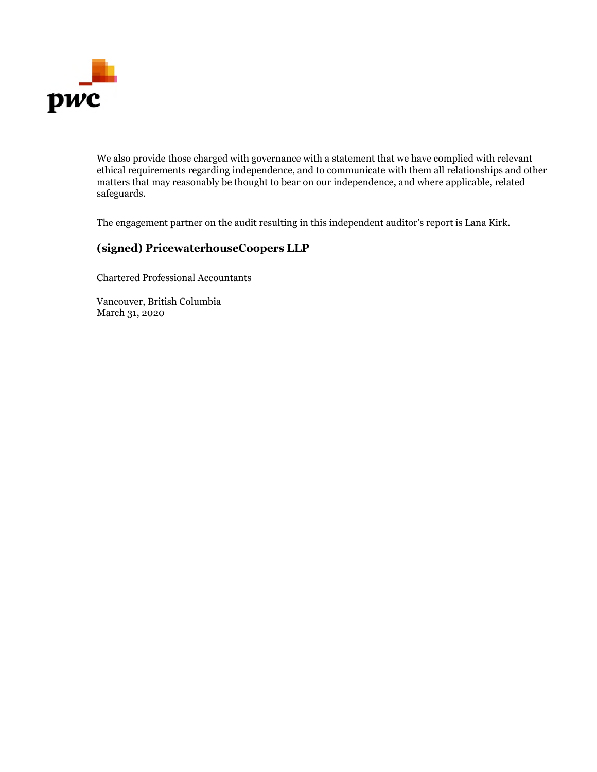

We also provide those charged with governance with a statement that we have complied with relevant ethical requirements regarding independence, and to communicate with them all relationships and other matters that may reasonably be thought to bear on our independence, and where applicable, related safeguards.

The engagement partner on the audit resulting in this independent auditor's report is Lana Kirk.

## **(signed) PricewaterhouseCoopers LLP**

Chartered Professional Accountants

Vancouver, British Columbia March 31, 2020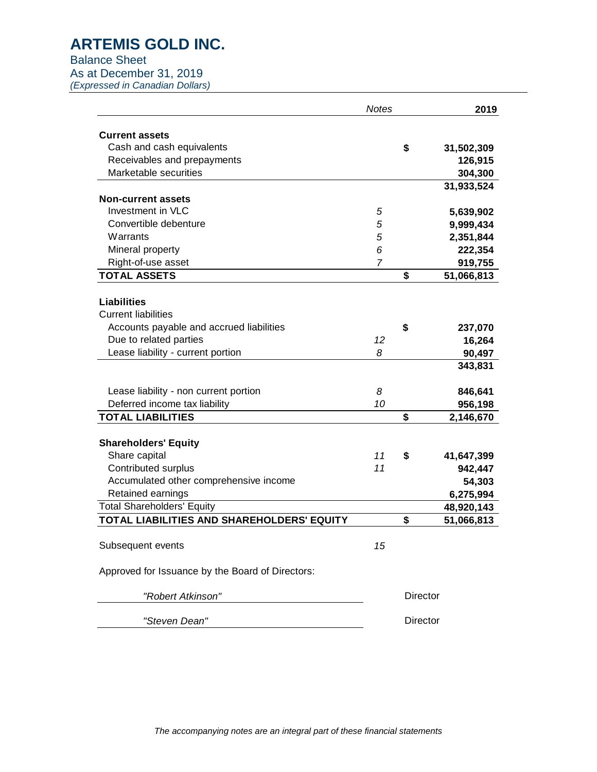Balance Sheet As at December 31, 2019 *(Expressed in Canadian Dollars)* 

|                                                  | <b>Notes</b>   |                 | 2019       |
|--------------------------------------------------|----------------|-----------------|------------|
| <b>Current assets</b>                            |                |                 |            |
| Cash and cash equivalents                        |                | \$              | 31,502,309 |
| Receivables and prepayments                      |                |                 | 126,915    |
| Marketable securities                            |                |                 | 304,300    |
|                                                  |                |                 | 31,933,524 |
| <b>Non-current assets</b>                        |                |                 |            |
| Investment in VLC                                | 5              |                 | 5,639,902  |
| Convertible debenture                            | 5              |                 | 9,999,434  |
| Warrants                                         | 5              |                 | 2,351,844  |
| Mineral property                                 | 6              |                 | 222,354    |
| Right-of-use asset                               | $\overline{7}$ |                 | 919,755    |
| <b>TOTAL ASSETS</b>                              |                | \$              | 51,066,813 |
|                                                  |                |                 |            |
| <b>Liabilities</b>                               |                |                 |            |
| <b>Current liabilities</b>                       |                |                 |            |
| Accounts payable and accrued liabilities         |                | \$              | 237,070    |
| Due to related parties                           | 12             |                 | 16,264     |
| Lease liability - current portion                | 8              |                 | 90,497     |
|                                                  |                |                 | 343,831    |
| Lease liability - non current portion            | 8              |                 | 846,641    |
| Deferred income tax liability                    | 10             |                 | 956,198    |
| <b>TOTAL LIABILITIES</b>                         |                | \$              | 2,146,670  |
| <b>Shareholders' Equity</b>                      |                |                 |            |
| Share capital                                    | 11             | \$              | 41,647,399 |
| Contributed surplus                              | 11             |                 | 942,447    |
| Accumulated other comprehensive income           |                |                 | 54,303     |
| Retained earnings                                |                |                 | 6,275,994  |
| <b>Total Shareholders' Equity</b>                |                |                 | 48,920,143 |
| TOTAL LIABILITIES AND SHAREHOLDERS' EQUITY       |                | \$              | 51,066,813 |
| Subsequent events                                | 15             |                 |            |
| Approved for Issuance by the Board of Directors: |                |                 |            |
| "Robert Atkinson"                                |                | <b>Director</b> |            |
| "Steven Dean"                                    |                | Director        |            |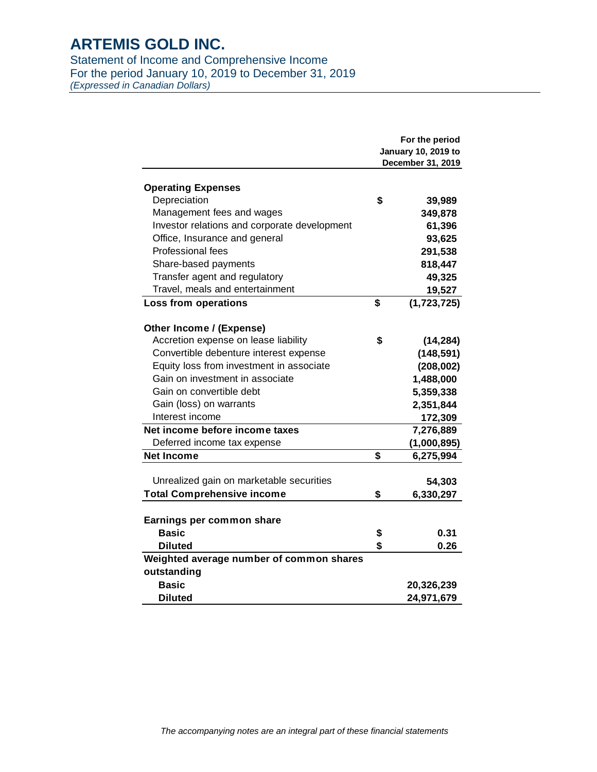Statement of Income and Comprehensive Income For the period January 10, 2019 to December 31, 2019 *(Expressed in Canadian Dollars)* 

|                                              | For the period<br><b>January 10, 2019 to</b><br>December 31, 2019 |             |
|----------------------------------------------|-------------------------------------------------------------------|-------------|
| <b>Operating Expenses</b>                    |                                                                   |             |
| Depreciation                                 | \$                                                                | 39,989      |
| Management fees and wages                    |                                                                   | 349,878     |
| Investor relations and corporate development |                                                                   | 61,396      |
| Office, Insurance and general                |                                                                   | 93,625      |
| Professional fees                            |                                                                   | 291,538     |
| Share-based payments                         |                                                                   | 818,447     |
| Transfer agent and regulatory                |                                                                   | 49,325      |
| Travel, meals and entertainment              |                                                                   | 19,527      |
| <b>Loss from operations</b>                  | \$                                                                | (1,723,725) |
| Other Income / (Expense)                     |                                                                   |             |
| Accretion expense on lease liability         | \$                                                                | (14, 284)   |
| Convertible debenture interest expense       |                                                                   | (148, 591)  |
| Equity loss from investment in associate     |                                                                   | (208, 002)  |
| Gain on investment in associate              |                                                                   | 1,488,000   |
| Gain on convertible debt                     |                                                                   | 5,359,338   |
| Gain (loss) on warrants                      |                                                                   | 2,351,844   |
| Interest income                              |                                                                   | 172,309     |
| Net income before income taxes               |                                                                   | 7,276,889   |
| Deferred income tax expense                  |                                                                   | (1,000,895) |
| <b>Net Income</b>                            | \$                                                                | 6,275,994   |
| Unrealized gain on marketable securities     |                                                                   | 54,303      |
| <b>Total Comprehensive income</b>            | \$                                                                | 6,330,297   |
| Earnings per common share                    |                                                                   |             |
| <b>Basic</b>                                 | \$                                                                | 0.31        |
| <b>Diluted</b>                               | \$                                                                | 0.26        |
| Weighted average number of common shares     |                                                                   |             |
| outstanding                                  |                                                                   |             |
| <b>Basic</b>                                 |                                                                   | 20,326,239  |
| <b>Diluted</b>                               |                                                                   | 24,971,679  |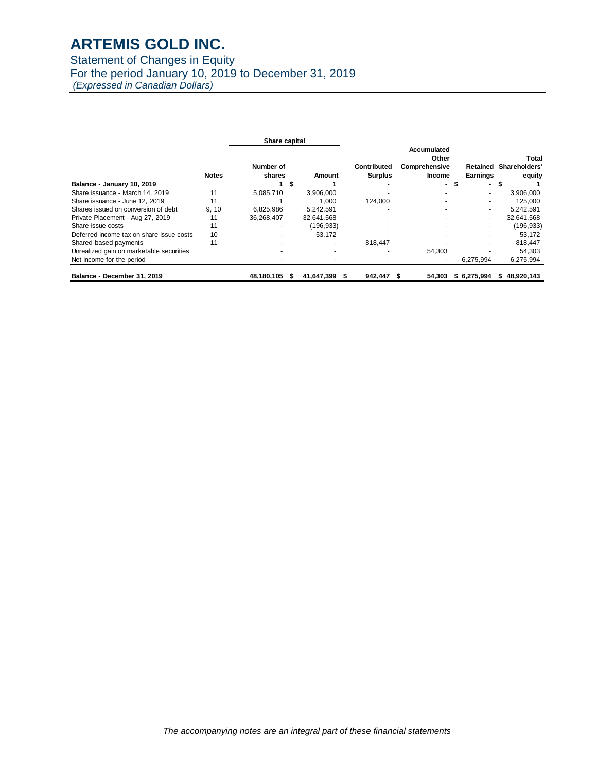## Statement of Changes in Equity

For the period January 10, 2019 to December 31, 2019

 *(Expressed in Canadian Dollars)*

|                                                                   |              | Share capital |                          |                    |                                       |                                         |                          |
|-------------------------------------------------------------------|--------------|---------------|--------------------------|--------------------|---------------------------------------|-----------------------------------------|--------------------------|
|                                                                   |              | Number of     |                          | <b>Contributed</b> | Accumulated<br>Other<br>Comprehensive | Retained                                | Total<br>Shareholders'   |
| Balance - January 10, 2019                                        | <b>Notes</b> | shares        | \$<br>Amount             | <b>Surplus</b>     | <b>Income</b><br>$\sim$               | \$<br><b>Earnings</b><br>$\blacksquare$ | equity<br>£.             |
| Share issuance - March 14, 2019<br>Share issuance - June 12, 2019 | 11<br>11     | 5,085,710     | 3,906,000<br>1.000       | 124.000            |                                       |                                         | 3,906,000<br>125.000     |
| Shares issued on conversion of debt                               | 9, 10        | 6.825.986     | 5.242.591                |                    |                                       |                                         | 5.242.591                |
| Private Placement - Aug 27, 2019<br>Share issue costs             | 11           | 36.268.407    | 32.641.568<br>(196, 933) |                    |                                       | $\overline{\phantom{a}}$                | 32.641.568<br>(196, 933) |
| Deferred income tax on share issue costs<br>Shared-based payments | 10<br>11     |               | 53.172                   | 818.447            |                                       |                                         | 53.172<br>818.447        |
| Unrealized gain on marketable securities                          |              |               |                          |                    | 54,303                                |                                         | 54,303                   |
| Net income for the period                                         |              |               |                          |                    |                                       | 6,275,994                               | 6,275,994                |
| Balance - December 31, 2019                                       |              | 48.180.105    | 41.647.399<br>S          | 942.447            | 54.303                                | \$6.275.994                             | 48.920.143<br>S.         |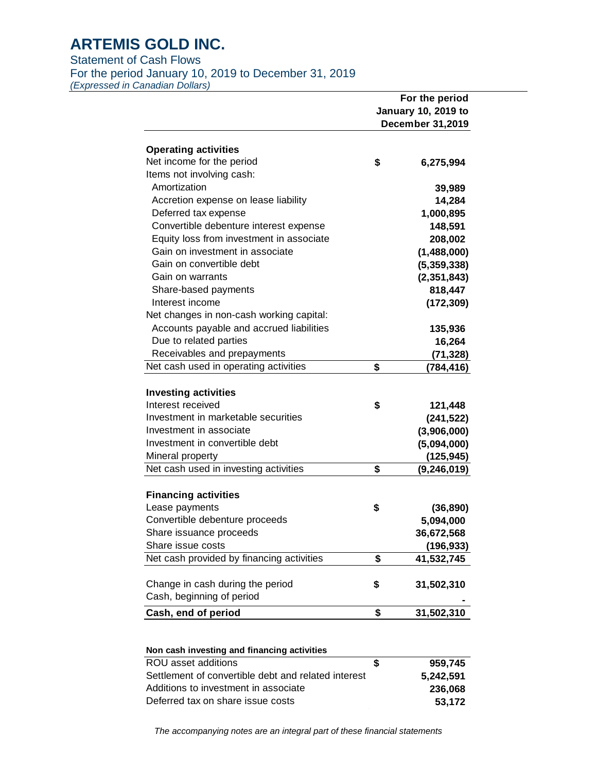Statement of Cash Flows

For the period January 10, 2019 to December 31, 2019

*(Expressed in Canadian Dollars)*

|                                                          | For the period             |                  |  |
|----------------------------------------------------------|----------------------------|------------------|--|
|                                                          | <b>January 10, 2019 to</b> |                  |  |
|                                                          |                            | December 31,2019 |  |
|                                                          |                            |                  |  |
| <b>Operating activities</b><br>Net income for the period | \$                         |                  |  |
| Items not involving cash:                                |                            | 6,275,994        |  |
| Amortization                                             |                            |                  |  |
|                                                          |                            | 39,989           |  |
| Accretion expense on lease liability                     |                            | 14,284           |  |
| Deferred tax expense                                     |                            | 1,000,895        |  |
| Convertible debenture interest expense                   |                            | 148,591          |  |
| Equity loss from investment in associate                 |                            | 208,002          |  |
| Gain on investment in associate                          |                            | (1,488,000)      |  |
| Gain on convertible debt                                 |                            | (5, 359, 338)    |  |
| Gain on warrants                                         |                            | (2, 351, 843)    |  |
| Share-based payments                                     |                            | 818,447          |  |
| Interest income                                          |                            | (172, 309)       |  |
| Net changes in non-cash working capital:                 |                            |                  |  |
| Accounts payable and accrued liabilities                 |                            | 135,936          |  |
| Due to related parties                                   |                            | 16,264           |  |
| Receivables and prepayments                              |                            | (71,328)         |  |
| Net cash used in operating activities                    | \$                         | (784,416)        |  |
|                                                          |                            |                  |  |
| <b>Investing activities</b>                              |                            |                  |  |
| Interest received                                        | \$                         | 121,448          |  |
| Investment in marketable securities                      |                            | (241, 522)       |  |
| Investment in associate                                  |                            | (3,906,000)      |  |
| Investment in convertible debt                           |                            | (5,094,000)      |  |
| Mineral property                                         |                            | (125,945)        |  |
| Net cash used in investing activities                    | \$                         | (9, 246, 019)    |  |
|                                                          |                            |                  |  |
| <b>Financing activities</b>                              |                            |                  |  |
| Lease payments                                           | \$                         | (36, 890)        |  |
| Convertible debenture proceeds                           |                            | 5,094,000        |  |
| Share issuance proceeds                                  |                            | 36,672,568       |  |
| Share issue costs                                        |                            | (196, 933)       |  |
| Net cash provided by financing activities                | \$                         | 41,532,745       |  |
|                                                          |                            |                  |  |
| Change in cash during the period                         | \$                         | 31,502,310       |  |
| Cash, beginning of period                                |                            |                  |  |
|                                                          | \$                         | 31,502,310       |  |

| $11211$ vach $1111$ volting and manufactor well throw |    |           |
|-------------------------------------------------------|----|-----------|
| ROU asset additions                                   | S. | 959.745   |
| Settlement of convertible debt and related interest   |    | 5.242.591 |
| Additions to investment in associate                  |    | 236.068   |
| Deferred tax on share issue costs                     |    | 53.172    |
|                                                       |    |           |

*The accompanying notes are an integral part of these financial statements*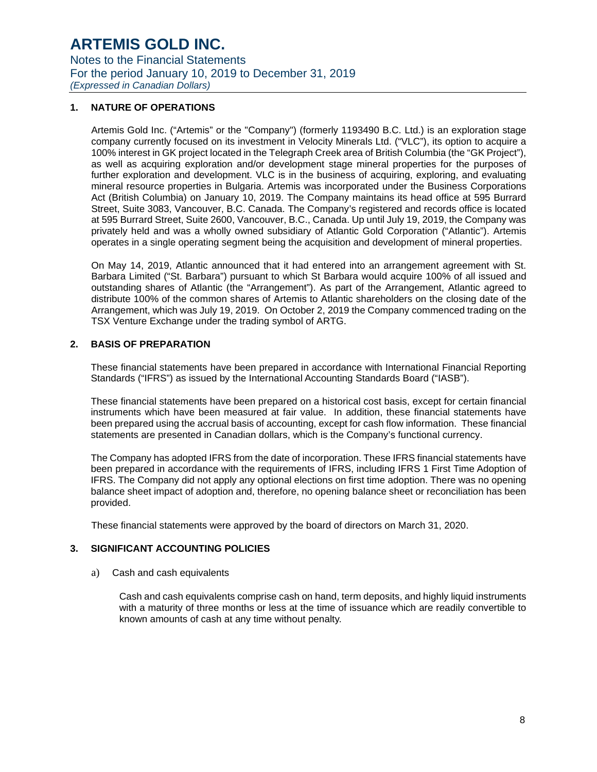## Notes to the Financial Statements For the period January 10, 2019 to December 31, 2019 *(Expressed in Canadian Dollars)*

## **1. NATURE OF OPERATIONS**

Artemis Gold Inc. ("Artemis" or the "Company") (formerly 1193490 B.C. Ltd.) is an exploration stage company currently focused on its investment in Velocity Minerals Ltd. ("VLC"), its option to acquire a 100% interest in GK project located in the Telegraph Creek area of British Columbia (the "GK Project"), as well as acquiring exploration and/or development stage mineral properties for the purposes of further exploration and development. VLC is in the business of acquiring, exploring, and evaluating mineral resource properties in Bulgaria. Artemis was incorporated under the Business Corporations Act (British Columbia) on January 10, 2019. The Company maintains its head office at 595 Burrard Street, Suite 3083, Vancouver, B.C. Canada. The Company's registered and records office is located at 595 Burrard Street, Suite 2600, Vancouver, B.C., Canada. Up until July 19, 2019, the Company was privately held and was a wholly owned subsidiary of Atlantic Gold Corporation ("Atlantic"). Artemis operates in a single operating segment being the acquisition and development of mineral properties.

On May 14, 2019, Atlantic announced that it had entered into an arrangement agreement with St. Barbara Limited ("St. Barbara") pursuant to which St Barbara would acquire 100% of all issued and outstanding shares of Atlantic (the "Arrangement"). As part of the Arrangement, Atlantic agreed to distribute 100% of the common shares of Artemis to Atlantic shareholders on the closing date of the Arrangement, which was July 19, 2019. On October 2, 2019 the Company commenced trading on the TSX Venture Exchange under the trading symbol of ARTG.

#### **2. BASIS OF PREPARATION**

These financial statements have been prepared in accordance with International Financial Reporting Standards ("IFRS") as issued by the International Accounting Standards Board ("IASB").

These financial statements have been prepared on a historical cost basis, except for certain financial instruments which have been measured at fair value. In addition, these financial statements have been prepared using the accrual basis of accounting, except for cash flow information. These financial statements are presented in Canadian dollars, which is the Company's functional currency.

The Company has adopted IFRS from the date of incorporation. These IFRS financial statements have been prepared in accordance with the requirements of IFRS, including IFRS 1 First Time Adoption of IFRS. The Company did not apply any optional elections on first time adoption. There was no opening balance sheet impact of adoption and, therefore, no opening balance sheet or reconciliation has been provided.

These financial statements were approved by the board of directors on March 31, 2020.

#### **3. SIGNIFICANT ACCOUNTING POLICIES**

a) Cash and cash equivalents

Cash and cash equivalents comprise cash on hand, term deposits, and highly liquid instruments with a maturity of three months or less at the time of issuance which are readily convertible to known amounts of cash at any time without penalty.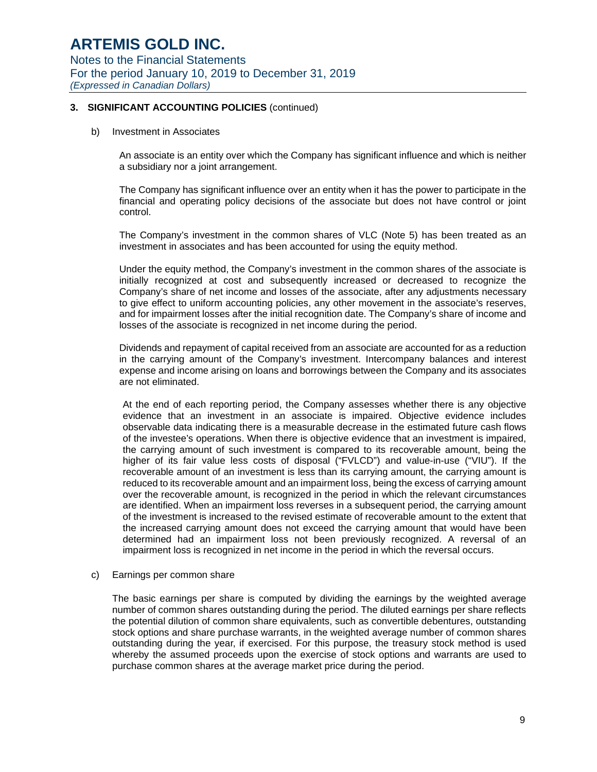## **ARTEMIS GOLD INC.**  Notes to the Financial Statements For the period January 10, 2019 to December 31, 2019 *(Expressed in Canadian Dollars)*

### **3. SIGNIFICANT ACCOUNTING POLICIES** (continued)

b) Investment in Associates

An associate is an entity over which the Company has significant influence and which is neither a subsidiary nor a joint arrangement.

The Company has significant influence over an entity when it has the power to participate in the financial and operating policy decisions of the associate but does not have control or joint control.

The Company's investment in the common shares of VLC (Note 5) has been treated as an investment in associates and has been accounted for using the equity method.

Under the equity method, the Company's investment in the common shares of the associate is initially recognized at cost and subsequently increased or decreased to recognize the Company's share of net income and losses of the associate, after any adjustments necessary to give effect to uniform accounting policies, any other movement in the associate's reserves, and for impairment losses after the initial recognition date. The Company's share of income and losses of the associate is recognized in net income during the period.

Dividends and repayment of capital received from an associate are accounted for as a reduction in the carrying amount of the Company's investment. Intercompany balances and interest expense and income arising on loans and borrowings between the Company and its associates are not eliminated.

At the end of each reporting period, the Company assesses whether there is any objective evidence that an investment in an associate is impaired. Objective evidence includes observable data indicating there is a measurable decrease in the estimated future cash flows of the investee's operations. When there is objective evidence that an investment is impaired, the carrying amount of such investment is compared to its recoverable amount, being the higher of its fair value less costs of disposal ("FVLCD") and value-in-use ("VIU"). If the recoverable amount of an investment is less than its carrying amount, the carrying amount is reduced to its recoverable amount and an impairment loss, being the excess of carrying amount over the recoverable amount, is recognized in the period in which the relevant circumstances are identified. When an impairment loss reverses in a subsequent period, the carrying amount of the investment is increased to the revised estimate of recoverable amount to the extent that the increased carrying amount does not exceed the carrying amount that would have been determined had an impairment loss not been previously recognized. A reversal of an impairment loss is recognized in net income in the period in which the reversal occurs.

#### c) Earnings per common share

The basic earnings per share is computed by dividing the earnings by the weighted average number of common shares outstanding during the period. The diluted earnings per share reflects the potential dilution of common share equivalents, such as convertible debentures, outstanding stock options and share purchase warrants, in the weighted average number of common shares outstanding during the year, if exercised. For this purpose, the treasury stock method is used whereby the assumed proceeds upon the exercise of stock options and warrants are used to purchase common shares at the average market price during the period.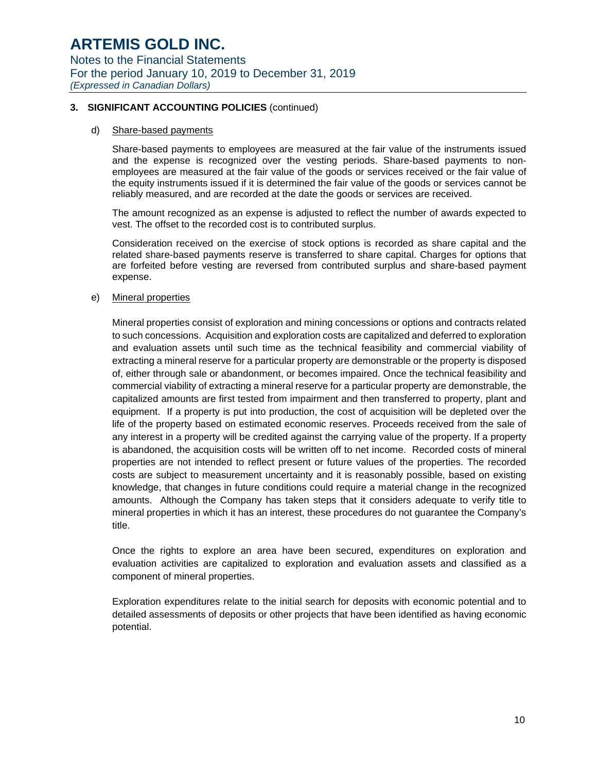Notes to the Financial Statements For the period January 10, 2019 to December 31, 2019 *(Expressed in Canadian Dollars)* 

#### **3. SIGNIFICANT ACCOUNTING POLICIES** (continued)

#### d) Share-based payments

Share-based payments to employees are measured at the fair value of the instruments issued and the expense is recognized over the vesting periods. Share-based payments to nonemployees are measured at the fair value of the goods or services received or the fair value of the equity instruments issued if it is determined the fair value of the goods or services cannot be reliably measured, and are recorded at the date the goods or services are received.

The amount recognized as an expense is adjusted to reflect the number of awards expected to vest. The offset to the recorded cost is to contributed surplus.

Consideration received on the exercise of stock options is recorded as share capital and the related share-based payments reserve is transferred to share capital. Charges for options that are forfeited before vesting are reversed from contributed surplus and share-based payment expense.

#### e) Mineral properties

Mineral properties consist of exploration and mining concessions or options and contracts related to such concessions. Acquisition and exploration costs are capitalized and deferred to exploration and evaluation assets until such time as the technical feasibility and commercial viability of extracting a mineral reserve for a particular property are demonstrable or the property is disposed of, either through sale or abandonment, or becomes impaired. Once the technical feasibility and commercial viability of extracting a mineral reserve for a particular property are demonstrable, the capitalized amounts are first tested from impairment and then transferred to property, plant and equipment. If a property is put into production, the cost of acquisition will be depleted over the life of the property based on estimated economic reserves. Proceeds received from the sale of any interest in a property will be credited against the carrying value of the property. If a property is abandoned, the acquisition costs will be written off to net income. Recorded costs of mineral properties are not intended to reflect present or future values of the properties. The recorded costs are subject to measurement uncertainty and it is reasonably possible, based on existing knowledge, that changes in future conditions could require a material change in the recognized amounts. Although the Company has taken steps that it considers adequate to verify title to mineral properties in which it has an interest, these procedures do not guarantee the Company's title.

Once the rights to explore an area have been secured, expenditures on exploration and evaluation activities are capitalized to exploration and evaluation assets and classified as a component of mineral properties.

Exploration expenditures relate to the initial search for deposits with economic potential and to detailed assessments of deposits or other projects that have been identified as having economic potential.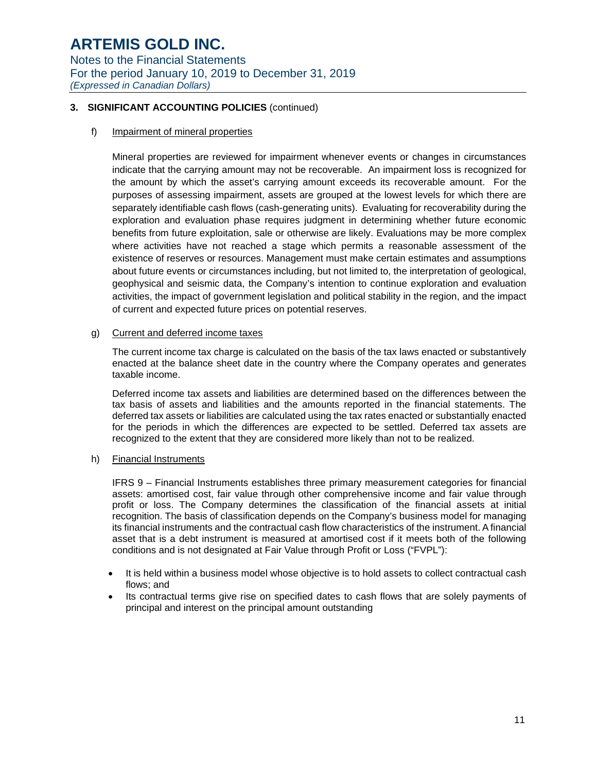Notes to the Financial Statements For the period January 10, 2019 to December 31, 2019 *(Expressed in Canadian Dollars)* 

## **3. SIGNIFICANT ACCOUNTING POLICIES** (continued)

#### f) Impairment of mineral properties

Mineral properties are reviewed for impairment whenever events or changes in circumstances indicate that the carrying amount may not be recoverable. An impairment loss is recognized for the amount by which the asset's carrying amount exceeds its recoverable amount. For the purposes of assessing impairment, assets are grouped at the lowest levels for which there are separately identifiable cash flows (cash-generating units). Evaluating for recoverability during the exploration and evaluation phase requires judgment in determining whether future economic benefits from future exploitation, sale or otherwise are likely. Evaluations may be more complex where activities have not reached a stage which permits a reasonable assessment of the existence of reserves or resources. Management must make certain estimates and assumptions about future events or circumstances including, but not limited to, the interpretation of geological, geophysical and seismic data, the Company's intention to continue exploration and evaluation activities, the impact of government legislation and political stability in the region, and the impact of current and expected future prices on potential reserves.

#### g) Current and deferred income taxes

The current income tax charge is calculated on the basis of the tax laws enacted or substantively enacted at the balance sheet date in the country where the Company operates and generates taxable income.

Deferred income tax assets and liabilities are determined based on the differences between the tax basis of assets and liabilities and the amounts reported in the financial statements. The deferred tax assets or liabilities are calculated using the tax rates enacted or substantially enacted for the periods in which the differences are expected to be settled. Deferred tax assets are recognized to the extent that they are considered more likely than not to be realized.

#### h) Financial Instruments

IFRS 9 – Financial Instruments establishes three primary measurement categories for financial assets: amortised cost, fair value through other comprehensive income and fair value through profit or loss. The Company determines the classification of the financial assets at initial recognition. The basis of classification depends on the Company's business model for managing its financial instruments and the contractual cash flow characteristics of the instrument. A financial asset that is a debt instrument is measured at amortised cost if it meets both of the following conditions and is not designated at Fair Value through Profit or Loss ("FVPL"):

- It is held within a business model whose objective is to hold assets to collect contractual cash flows; and
- Its contractual terms give rise on specified dates to cash flows that are solely payments of principal and interest on the principal amount outstanding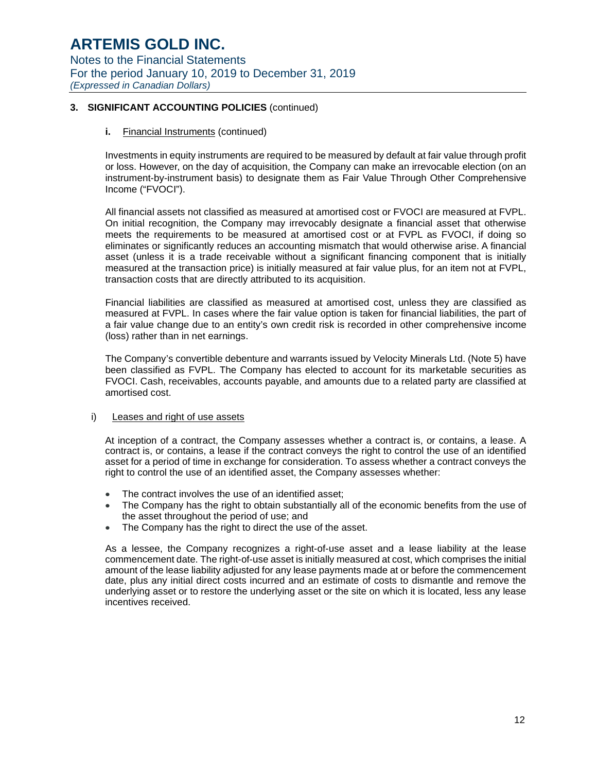Notes to the Financial Statements For the period January 10, 2019 to December 31, 2019 *(Expressed in Canadian Dollars)* 

## **3. SIGNIFICANT ACCOUNTING POLICIES** (continued)

#### **i.** Financial Instruments (continued)

Investments in equity instruments are required to be measured by default at fair value through profit or loss. However, on the day of acquisition, the Company can make an irrevocable election (on an instrument-by-instrument basis) to designate them as Fair Value Through Other Comprehensive Income ("FVOCI").

All financial assets not classified as measured at amortised cost or FVOCI are measured at FVPL. On initial recognition, the Company may irrevocably designate a financial asset that otherwise meets the requirements to be measured at amortised cost or at FVPL as FVOCI, if doing so eliminates or significantly reduces an accounting mismatch that would otherwise arise. A financial asset (unless it is a trade receivable without a significant financing component that is initially measured at the transaction price) is initially measured at fair value plus, for an item not at FVPL, transaction costs that are directly attributed to its acquisition.

Financial liabilities are classified as measured at amortised cost, unless they are classified as measured at FVPL. In cases where the fair value option is taken for financial liabilities, the part of a fair value change due to an entity's own credit risk is recorded in other comprehensive income (loss) rather than in net earnings.

The Company's convertible debenture and warrants issued by Velocity Minerals Ltd. (Note 5) have been classified as FVPL. The Company has elected to account for its marketable securities as FVOCI. Cash, receivables, accounts payable, and amounts due to a related party are classified at amortised cost.

#### i) Leases and right of use assets

At inception of a contract, the Company assesses whether a contract is, or contains, a lease. A contract is, or contains, a lease if the contract conveys the right to control the use of an identified asset for a period of time in exchange for consideration. To assess whether a contract conveys the right to control the use of an identified asset, the Company assesses whether:

- The contract involves the use of an identified asset;
- The Company has the right to obtain substantially all of the economic benefits from the use of the asset throughout the period of use; and
- The Company has the right to direct the use of the asset.

 As a lessee, the Company recognizes a right-of-use asset and a lease liability at the lease commencement date. The right-of-use asset is initially measured at cost, which comprises the initial amount of the lease liability adjusted for any lease payments made at or before the commencement date, plus any initial direct costs incurred and an estimate of costs to dismantle and remove the underlying asset or to restore the underlying asset or the site on which it is located, less any lease incentives received.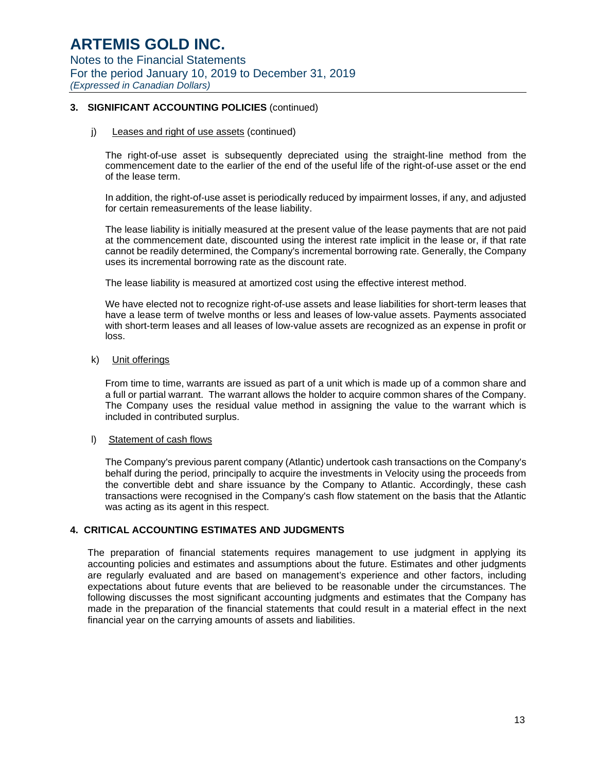### **3. SIGNIFICANT ACCOUNTING POLICIES** (continued)

#### j) Leases and right of use assets (continued)

The right-of-use asset is subsequently depreciated using the straight-line method from the commencement date to the earlier of the end of the useful life of the right-of-use asset or the end of the lease term.

In addition, the right-of-use asset is periodically reduced by impairment losses, if any, and adjusted for certain remeasurements of the lease liability.

The lease liability is initially measured at the present value of the lease payments that are not paid at the commencement date, discounted using the interest rate implicit in the lease or, if that rate cannot be readily determined, the Company's incremental borrowing rate. Generally, the Company uses its incremental borrowing rate as the discount rate.

The lease liability is measured at amortized cost using the effective interest method.

We have elected not to recognize right-of-use assets and lease liabilities for short-term leases that have a lease term of twelve months or less and leases of low-value assets. Payments associated with short-term leases and all leases of low-value assets are recognized as an expense in profit or loss.

#### k) Unit offerings

From time to time, warrants are issued as part of a unit which is made up of a common share and a full or partial warrant. The warrant allows the holder to acquire common shares of the Company. The Company uses the residual value method in assigning the value to the warrant which is included in contributed surplus.

#### l) Statement of cash flows

The Company's previous parent company (Atlantic) undertook cash transactions on the Company's behalf during the period, principally to acquire the investments in Velocity using the proceeds from the convertible debt and share issuance by the Company to Atlantic. Accordingly, these cash transactions were recognised in the Company's cash flow statement on the basis that the Atlantic was acting as its agent in this respect.

## **4. CRITICAL ACCOUNTING ESTIMATES AND JUDGMENTS**

The preparation of financial statements requires management to use judgment in applying its accounting policies and estimates and assumptions about the future. Estimates and other judgments are regularly evaluated and are based on management's experience and other factors, including expectations about future events that are believed to be reasonable under the circumstances. The following discusses the most significant accounting judgments and estimates that the Company has made in the preparation of the financial statements that could result in a material effect in the next financial year on the carrying amounts of assets and liabilities.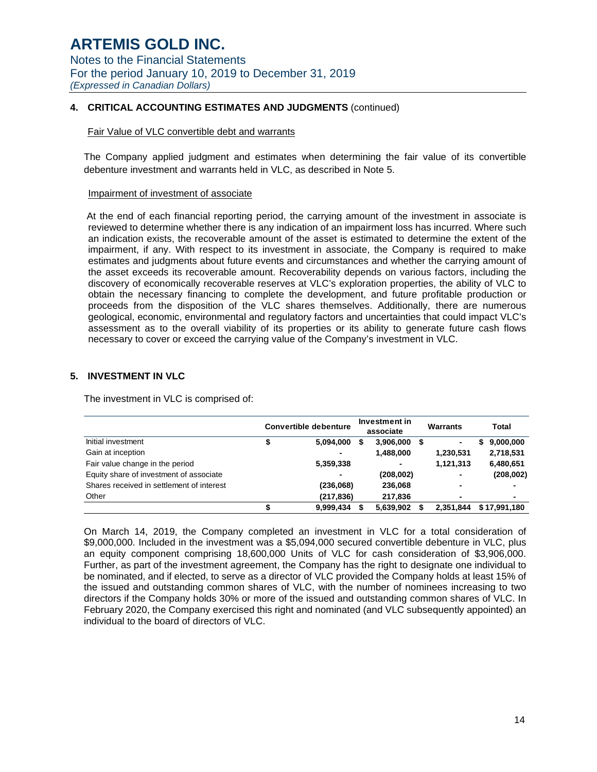## **4. CRITICAL ACCOUNTING ESTIMATES AND JUDGMENTS** (continued)

#### Fair Value of VLC convertible debt and warrants

The Company applied judgment and estimates when determining the fair value of its convertible debenture investment and warrants held in VLC, as described in Note 5.

#### Impairment of investment of associate

 At the end of each financial reporting period, the carrying amount of the investment in associate is reviewed to determine whether there is any indication of an impairment loss has incurred. Where such an indication exists, the recoverable amount of the asset is estimated to determine the extent of the impairment, if any. With respect to its investment in associate, the Company is required to make estimates and judgments about future events and circumstances and whether the carrying amount of the asset exceeds its recoverable amount. Recoverability depends on various factors, including the discovery of economically recoverable reserves at VLC's exploration properties, the ability of VLC to obtain the necessary financing to complete the development, and future profitable production or proceeds from the disposition of the VLC shares themselves. Additionally, there are numerous geological, economic, environmental and regulatory factors and uncertainties that could impact VLC's assessment as to the overall viability of its properties or its ability to generate future cash flows necessary to cover or exceed the carrying value of the Company's investment in VLC.

### **5. INVESTMENT IN VLC**

The investment in VLC is comprised of:

|                                           | <b>Convertible debenture</b> |   | Investment in<br>associate | <b>Warrants</b> | Total        |
|-------------------------------------------|------------------------------|---|----------------------------|-----------------|--------------|
| Initial investment                        | 5,094,000                    | 5 | 3,906,000                  |                 | 9,000,000    |
| Gain at inception                         |                              |   | 1,488,000                  | 1,230,531       | 2,718,531    |
| Fair value change in the period           | 5,359,338                    |   | -                          | 1,121,313       | 6,480,651    |
| Equity share of investment of associate   | -                            |   | (208,002)                  |                 | (208,002)    |
| Shares received in settlement of interest | (236,068)                    |   | 236,068                    | ۰               |              |
| Other                                     | (217, 836)                   |   | 217,836                    | ۰               | -            |
|                                           | 9,999,434                    |   | 5,639,902                  | 2.351.844       | \$17.991.180 |

On March 14, 2019, the Company completed an investment in VLC for a total consideration of \$9,000,000. Included in the investment was a \$5,094,000 secured convertible debenture in VLC, plus an equity component comprising 18,600,000 Units of VLC for cash consideration of \$3,906,000. Further, as part of the investment agreement, the Company has the right to designate one individual to be nominated, and if elected, to serve as a director of VLC provided the Company holds at least 15% of the issued and outstanding common shares of VLC, with the number of nominees increasing to two directors if the Company holds 30% or more of the issued and outstanding common shares of VLC. In February 2020, the Company exercised this right and nominated (and VLC subsequently appointed) an individual to the board of directors of VLC.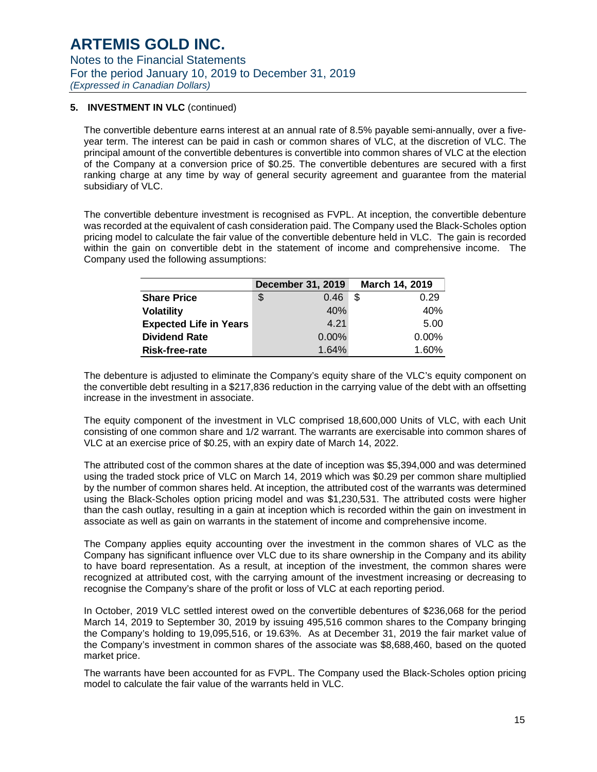Notes to the Financial Statements For the period January 10, 2019 to December 31, 2019 *(Expressed in Canadian Dollars)* 

## **5. INVESTMENT IN VLC** (continued)

The convertible debenture earns interest at an annual rate of 8.5% payable semi-annually, over a fiveyear term. The interest can be paid in cash or common shares of VLC, at the discretion of VLC. The principal amount of the convertible debentures is convertible into common shares of VLC at the election of the Company at a conversion price of \$0.25. The convertible debentures are secured with a first ranking charge at any time by way of general security agreement and guarantee from the material subsidiary of VLC.

The convertible debenture investment is recognised as FVPL. At inception, the convertible debenture was recorded at the equivalent of cash consideration paid. The Company used the Black-Scholes option pricing model to calculate the fair value of the convertible debenture held in VLC. The gain is recorded within the gain on convertible debt in the statement of income and comprehensive income. The Company used the following assumptions:

|                               | <b>December 31, 2019</b> | March 14, 2019 |
|-------------------------------|--------------------------|----------------|
| <b>Share Price</b>            | 0.46                     | S<br>0.29      |
| <b>Volatility</b>             | 40%                      | 40%            |
| <b>Expected Life in Years</b> | 4.21                     | 5.00           |
| <b>Dividend Rate</b>          | $0.00\%$                 | $0.00\%$       |
| <b>Risk-free-rate</b>         | 1.64%                    | 1.60%          |

The debenture is adjusted to eliminate the Company's equity share of the VLC's equity component on the convertible debt resulting in a \$217,836 reduction in the carrying value of the debt with an offsetting increase in the investment in associate.

The equity component of the investment in VLC comprised 18,600,000 Units of VLC, with each Unit consisting of one common share and 1/2 warrant. The warrants are exercisable into common shares of VLC at an exercise price of \$0.25, with an expiry date of March 14, 2022.

The attributed cost of the common shares at the date of inception was \$5,394,000 and was determined using the traded stock price of VLC on March 14, 2019 which was \$0.29 per common share multiplied by the number of common shares held. At inception, the attributed cost of the warrants was determined using the Black-Scholes option pricing model and was \$1,230,531. The attributed costs were higher than the cash outlay, resulting in a gain at inception which is recorded within the gain on investment in associate as well as gain on warrants in the statement of income and comprehensive income.

The Company applies equity accounting over the investment in the common shares of VLC as the Company has significant influence over VLC due to its share ownership in the Company and its ability to have board representation. As a result, at inception of the investment, the common shares were recognized at attributed cost, with the carrying amount of the investment increasing or decreasing to recognise the Company's share of the profit or loss of VLC at each reporting period.

In October, 2019 VLC settled interest owed on the convertible debentures of \$236,068 for the period March 14, 2019 to September 30, 2019 by issuing 495,516 common shares to the Company bringing the Company's holding to 19,095,516, or 19.63%. As at December 31, 2019 the fair market value of the Company's investment in common shares of the associate was \$8,688,460, based on the quoted market price.

The warrants have been accounted for as FVPL. The Company used the Black-Scholes option pricing model to calculate the fair value of the warrants held in VLC.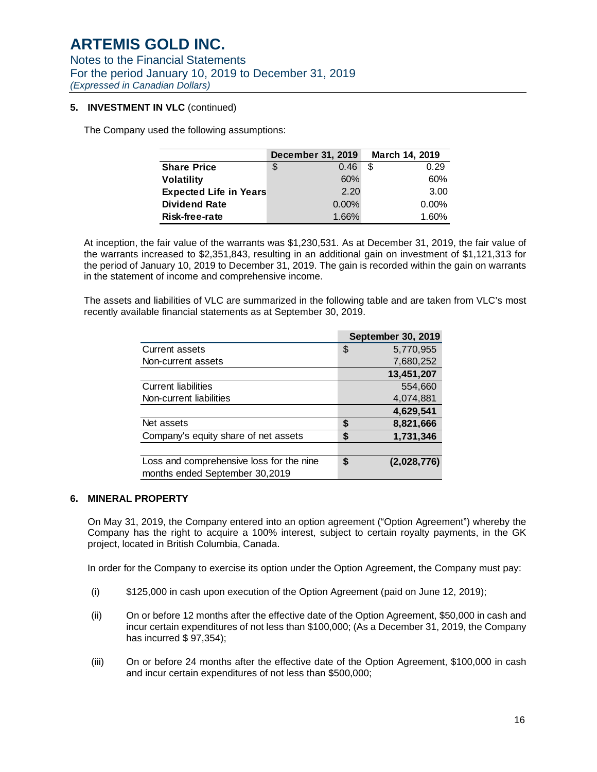## **ARTEMIS GOLD INC.**  Notes to the Financial Statements For the period January 10, 2019 to December 31, 2019 *(Expressed in Canadian Dollars)*

## **5. INVESTMENT IN VLC** (continued)

The Company used the following assumptions:

|                               | <b>December 31, 2019</b> | March 14, 2019 |
|-------------------------------|--------------------------|----------------|
| <b>Share Price</b>            | 0.46<br>\$               | S<br>0.29      |
| <b>Volatility</b>             | 60%                      | 60%            |
| <b>Expected Life in Years</b> | 2.20                     | 3.00           |
| <b>Dividend Rate</b>          | $0.00\%$                 | $0.00\%$       |
| <b>Risk-free-rate</b>         | 1.66%                    | 1.60%          |

At inception, the fair value of the warrants was \$1,230,531. As at December 31, 2019, the fair value of the warrants increased to \$2,351,843, resulting in an additional gain on investment of \$1,121,313 for the period of January 10, 2019 to December 31, 2019. The gain is recorded within the gain on warrants in the statement of income and comprehensive income.

The assets and liabilities of VLC are summarized in the following table and are taken from VLC's most recently available financial statements as at September 30, 2019.

|                                          | <b>September 30, 2019</b> |
|------------------------------------------|---------------------------|
| <b>Current assets</b>                    | \$<br>5,770,955           |
| Non-current assets                       | 7,680,252                 |
|                                          | 13,451,207                |
| <b>Current liabilities</b>               | 554,660                   |
| Non-current liabilities                  | 4,074,881                 |
|                                          | 4,629,541                 |
| Net assets                               | \$<br>8,821,666           |
| Company's equity share of net assets     | \$<br>1,731,346           |
|                                          |                           |
| Loss and comprehensive loss for the nine | \$<br>(2,028,776)         |
| months ended September 30,2019           |                           |

#### **6. MINERAL PROPERTY**

On May 31, 2019, the Company entered into an option agreement ("Option Agreement") whereby the Company has the right to acquire a 100% interest, subject to certain royalty payments, in the GK project, located in British Columbia, Canada.

In order for the Company to exercise its option under the Option Agreement, the Company must pay:

- (i) \$125,000 in cash upon execution of the Option Agreement (paid on June 12, 2019);
- (ii) On or before 12 months after the effective date of the Option Agreement, \$50,000 in cash and incur certain expenditures of not less than \$100,000; (As a December 31, 2019, the Company has incurred \$ 97,354);
- (iii) On or before 24 months after the effective date of the Option Agreement, \$100,000 in cash and incur certain expenditures of not less than \$500,000;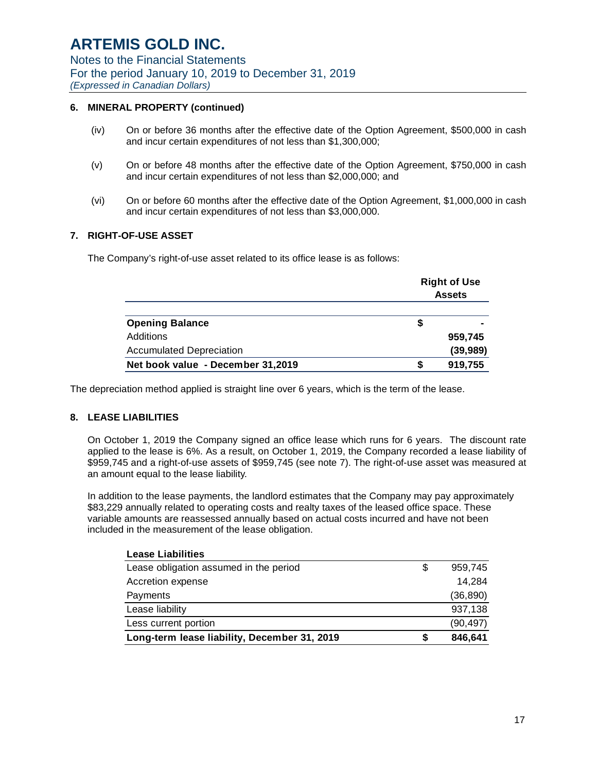Notes to the Financial Statements For the period January 10, 2019 to December 31, 2019 *(Expressed in Canadian Dollars)* 

## **6. MINERAL PROPERTY (continued)**

- (iv) On or before 36 months after the effective date of the Option Agreement, \$500,000 in cash and incur certain expenditures of not less than \$1,300,000;
- (v) On or before 48 months after the effective date of the Option Agreement, \$750,000 in cash and incur certain expenditures of not less than \$2,000,000; and
- (vi) On or before 60 months after the effective date of the Option Agreement, \$1,000,000 in cash and incur certain expenditures of not less than \$3,000,000.

## **7. RIGHT-OF-USE ASSET**

The Company's right-of-use asset related to its office lease is as follows:

|                                   | <b>Right of Use</b><br><b>Assets</b> |           |
|-----------------------------------|--------------------------------------|-----------|
| <b>Opening Balance</b>            | \$                                   |           |
| Additions                         |                                      | 959,745   |
| <b>Accumulated Depreciation</b>   |                                      | (39, 989) |
| Net book value - December 31,2019 | S                                    | 919,755   |

The depreciation method applied is straight line over 6 years, which is the term of the lease.

## **8. LEASE LIABILITIES**

On October 1, 2019 the Company signed an office lease which runs for 6 years. The discount rate applied to the lease is 6%. As a result, on October 1, 2019, the Company recorded a lease liability of \$959,745 and a right-of-use assets of \$959,745 (see note 7). The right-of-use asset was measured at an amount equal to the lease liability.

In addition to the lease payments, the landlord estimates that the Company may pay approximately \$83,229 annually related to operating costs and realty taxes of the leased office space. These variable amounts are reassessed annually based on actual costs incurred and have not been included in the measurement of the lease obligation.

| <b>Lease Liabilities</b>                     |   |           |
|----------------------------------------------|---|-----------|
| Lease obligation assumed in the period       | S | 959.745   |
| Accretion expense                            |   | 14,284    |
| Payments                                     |   | (36, 890) |
| Lease liability                              |   | 937,138   |
| Less current portion                         |   | (90, 497) |
| Long-term lease liability, December 31, 2019 | S | 846,641   |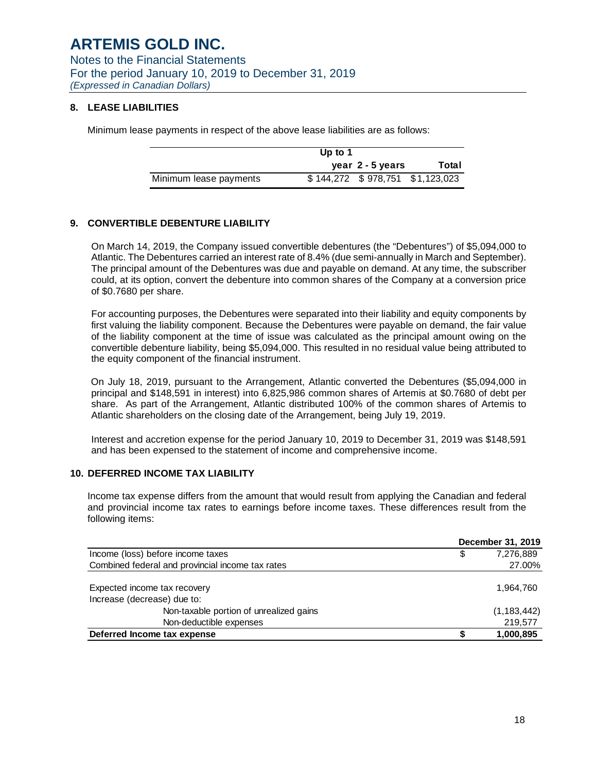### **8. LEASE LIABILITIES**

Minimum lease payments in respect of the above lease liabilities are as follows:

|                        | Up to $1$ |                  |                                 |
|------------------------|-----------|------------------|---------------------------------|
|                        |           | year 2 - 5 years | Total                           |
| Minimum lease payments |           |                  | \$144,272 \$978,751 \$1,123,023 |

## **9. CONVERTIBLE DEBENTURE LIABILITY**

On March 14, 2019, the Company issued convertible debentures (the "Debentures") of \$5,094,000 to Atlantic. The Debentures carried an interest rate of 8.4% (due semi-annually in March and September). The principal amount of the Debentures was due and payable on demand. At any time, the subscriber could, at its option, convert the debenture into common shares of the Company at a conversion price of \$0.7680 per share.

For accounting purposes, the Debentures were separated into their liability and equity components by first valuing the liability component. Because the Debentures were payable on demand, the fair value of the liability component at the time of issue was calculated as the principal amount owing on the convertible debenture liability, being \$5,094,000. This resulted in no residual value being attributed to the equity component of the financial instrument.

On July 18, 2019, pursuant to the Arrangement, Atlantic converted the Debentures (\$5,094,000 in principal and \$148,591 in interest) into 6,825,986 common shares of Artemis at \$0.7680 of debt per share. As part of the Arrangement, Atlantic distributed 100% of the common shares of Artemis to Atlantic shareholders on the closing date of the Arrangement, being July 19, 2019.

Interest and accretion expense for the period January 10, 2019 to December 31, 2019 was \$148,591 and has been expensed to the statement of income and comprehensive income.

#### **10. DEFERRED INCOME TAX LIABILITY**

Income tax expense differs from the amount that would result from applying the Canadian and federal and provincial income tax rates to earnings before income taxes. These differences result from the following items:

|                                                             | December 31, 2019 |
|-------------------------------------------------------------|-------------------|
| Income (loss) before income taxes                           | \$<br>7,276,889   |
| Combined federal and provincial income tax rates            | 27.00%            |
| Expected income tax recovery<br>Increase (decrease) due to: | 1,964,760         |
| Non-taxable portion of unrealized gains                     | (1, 183, 442)     |
| Non-deductible expenses                                     | 219,577           |
| Deferred Income tax expense                                 | 1,000,895         |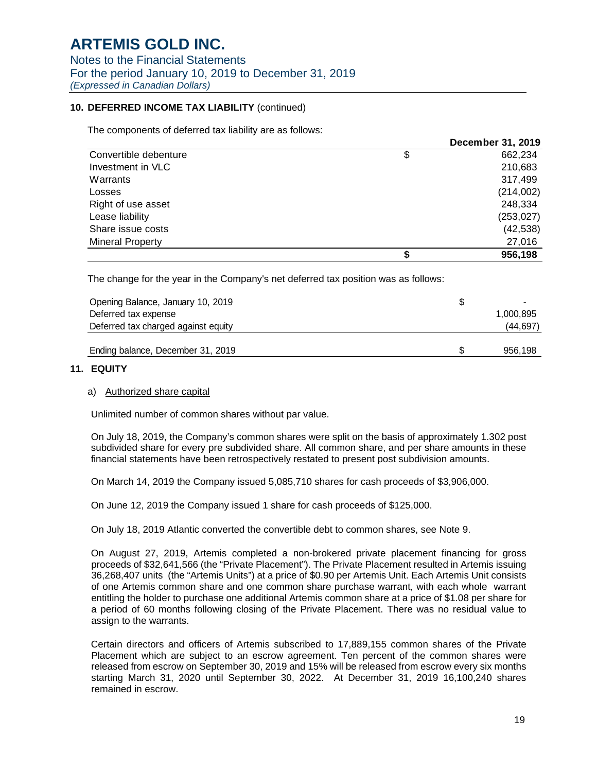Notes to the Financial Statements For the period January 10, 2019 to December 31, 2019 *(Expressed in Canadian Dollars)* 

### **10. DEFERRED INCOME TAX LIABILITY** (continued)

The components of deferred tax liability are as follows:

|                         | December 31, 2019 |
|-------------------------|-------------------|
| Convertible debenture   | \$<br>662,234     |
| Investment in VLC       | 210,683           |
| Warrants                | 317,499           |
| Losses                  | (214,002)         |
| Right of use asset      | 248,334           |
| Lease liability         | (253, 027)        |
| Share issue costs       | (42, 538)         |
| <b>Mineral Property</b> | 27,016            |
|                         | 956,198           |

The change for the year in the Company's net deferred tax position was as follows:

| Opening Balance, January 10, 2019<br>Deferred tax expense | 1,000,895 |
|-----------------------------------------------------------|-----------|
| Deferred tax charged against equity                       | (44, 697) |
|                                                           |           |
| Ending balance, December 31, 2019                         | 956,198   |

### **11. EQUITY**

#### a) Authorized share capital

Unlimited number of common shares without par value.

On July 18, 2019, the Company's common shares were split on the basis of approximately 1.302 post subdivided share for every pre subdivided share. All common share, and per share amounts in these financial statements have been retrospectively restated to present post subdivision amounts.

On March 14, 2019 the Company issued 5,085,710 shares for cash proceeds of \$3,906,000.

On June 12, 2019 the Company issued 1 share for cash proceeds of \$125,000.

On July 18, 2019 Atlantic converted the convertible debt to common shares, see Note 9.

On August 27, 2019, Artemis completed a non-brokered private placement financing for gross proceeds of \$32,641,566 (the "Private Placement"). The Private Placement resulted in Artemis issuing 36,268,407 units (the "Artemis Units") at a price of \$0.90 per Artemis Unit. Each Artemis Unit consists of one Artemis common share and one common share purchase warrant, with each whole warrant entitling the holder to purchase one additional Artemis common share at a price of \$1.08 per share for a period of 60 months following closing of the Private Placement. There was no residual value to assign to the warrants.

Certain directors and officers of Artemis subscribed to 17,889,155 common shares of the Private Placement which are subject to an escrow agreement. Ten percent of the common shares were released from escrow on September 30, 2019 and 15% will be released from escrow every six months starting March 31, 2020 until September 30, 2022. At December 31, 2019 16,100,240 shares remained in escrow.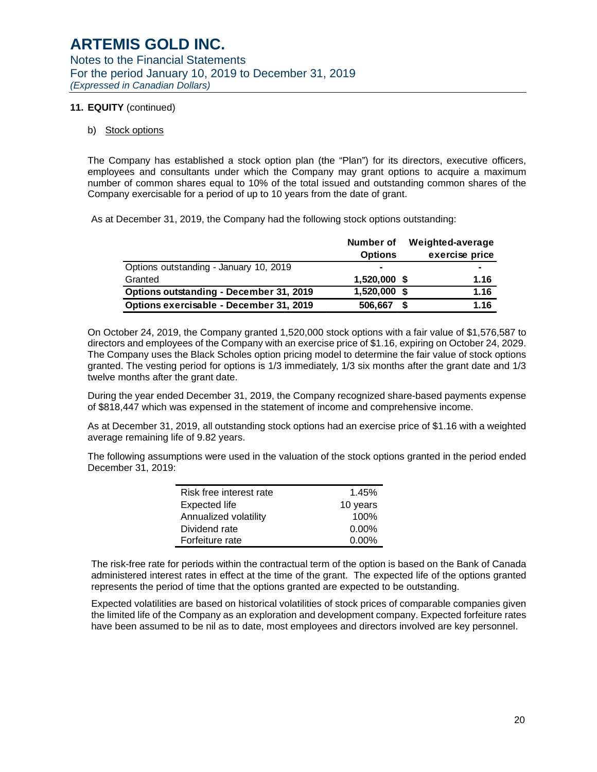#### **11. EQUITY** (continued)

#### b) Stock options

The Company has established a stock option plan (the "Plan") for its directors, executive officers, employees and consultants under which the Company may grant options to acquire a maximum number of common shares equal to 10% of the total issued and outstanding common shares of the Company exercisable for a period of up to 10 years from the date of grant.

As at December 31, 2019, the Company had the following stock options outstanding:

|                                                | Number of      | Weighted-average |
|------------------------------------------------|----------------|------------------|
|                                                | <b>Options</b> | exercise price   |
| Options outstanding - January 10, 2019         |                |                  |
| Granted                                        | 1,520,000 \$   | 1.16             |
| <b>Options outstanding - December 31, 2019</b> | 1,520,000 \$   | 1.16             |
| Options exercisable - December 31, 2019        | 506,667        | 1.16<br>S        |

On October 24, 2019, the Company granted 1,520,000 stock options with a fair value of \$1,576,587 to directors and employees of the Company with an exercise price of \$1.16, expiring on October 24, 2029. The Company uses the Black Scholes option pricing model to determine the fair value of stock options granted. The vesting period for options is 1/3 immediately, 1/3 six months after the grant date and 1/3 twelve months after the grant date.

During the year ended December 31, 2019, the Company recognized share-based payments expense of \$818,447 which was expensed in the statement of income and comprehensive income.

As at December 31, 2019, all outstanding stock options had an exercise price of \$1.16 with a weighted average remaining life of 9.82 years.

The following assumptions were used in the valuation of the stock options granted in the period ended December 31, 2019:

| Risk free interest rate | 1.45%    |
|-------------------------|----------|
| Expected life           | 10 years |
| Annualized volatility   | 100%     |
| Dividend rate           | $0.00\%$ |
| Forfeiture rate         | $0.00\%$ |

The risk-free rate for periods within the contractual term of the option is based on the Bank of Canada administered interest rates in effect at the time of the grant. The expected life of the options granted represents the period of time that the options granted are expected to be outstanding.

Expected volatilities are based on historical volatilities of stock prices of comparable companies given the limited life of the Company as an exploration and development company. Expected forfeiture rates have been assumed to be nil as to date, most employees and directors involved are key personnel.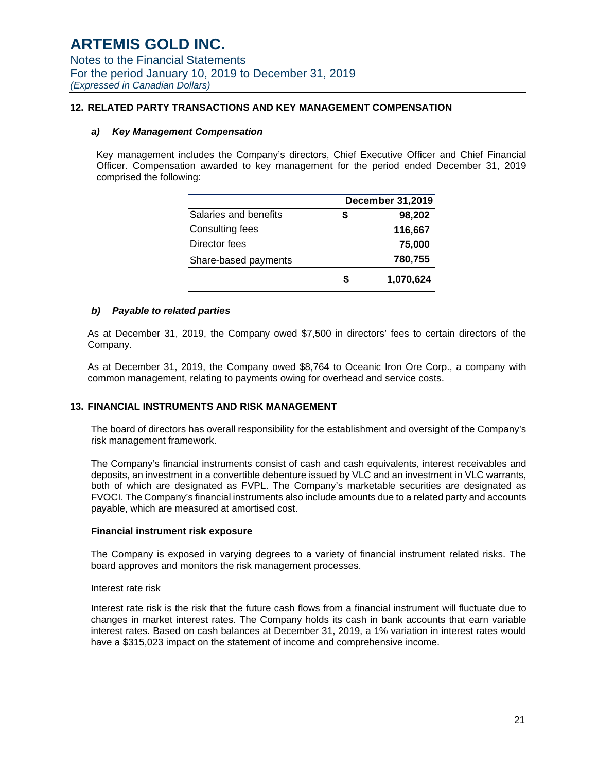### **12. RELATED PARTY TRANSACTIONS AND KEY MANAGEMENT COMPENSATION**

#### *a) Key Management Compensation*

Key management includes the Company's directors, Chief Executive Officer and Chief Financial Officer. Compensation awarded to key management for the period ended December 31, 2019 comprised the following:

|                       | <b>December 31,2019</b> |           |
|-----------------------|-------------------------|-----------|
| Salaries and benefits | S                       | 98,202    |
| Consulting fees       |                         | 116,667   |
| Director fees         |                         | 75,000    |
| Share-based payments  |                         | 780,755   |
|                       | S                       | 1,070,624 |

#### *b) Payable to related parties*

As at December 31, 2019, the Company owed \$7,500 in directors' fees to certain directors of the Company.

As at December 31, 2019, the Company owed \$8,764 to Oceanic Iron Ore Corp., a company with common management, relating to payments owing for overhead and service costs.

#### **13. FINANCIAL INSTRUMENTS AND RISK MANAGEMENT**

The board of directors has overall responsibility for the establishment and oversight of the Company's risk management framework.

The Company's financial instruments consist of cash and cash equivalents, interest receivables and deposits, an investment in a convertible debenture issued by VLC and an investment in VLC warrants, both of which are designated as FVPL. The Company's marketable securities are designated as FVOCI. The Company's financial instruments also include amounts due to a related party and accounts payable, which are measured at amortised cost.

#### **Financial instrument risk exposure**

The Company is exposed in varying degrees to a variety of financial instrument related risks. The board approves and monitors the risk management processes.

#### Interest rate risk

Interest rate risk is the risk that the future cash flows from a financial instrument will fluctuate due to changes in market interest rates. The Company holds its cash in bank accounts that earn variable interest rates. Based on cash balances at December 31, 2019, a 1% variation in interest rates would have a \$315,023 impact on the statement of income and comprehensive income.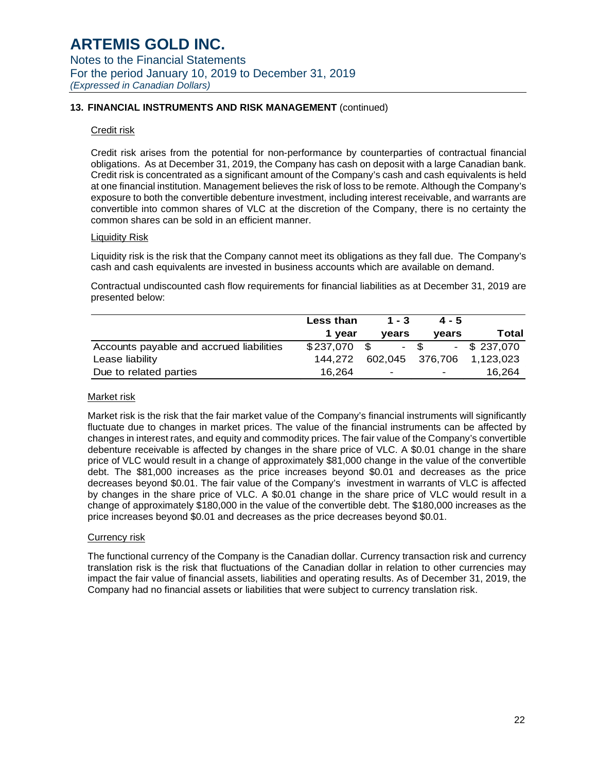## **13. FINANCIAL INSTRUMENTS AND RISK MANAGEMENT** (continued)

#### Credit risk

Credit risk arises from the potential for non-performance by counterparties of contractual financial obligations. As at December 31, 2019, the Company has cash on deposit with a large Canadian bank. Credit risk is concentrated as a significant amount of the Company's cash and cash equivalents is held at one financial institution. Management believes the risk of loss to be remote. Although the Company's exposure to both the convertible debenture investment, including interest receivable, and warrants are convertible into common shares of VLC at the discretion of the Company, there is no certainty the common shares can be sold in an efficient manner.

#### Liquidity Risk

Liquidity risk is the risk that the Company cannot meet its obligations as they fall due. The Company's cash and cash equivalents are invested in business accounts which are available on demand.

Contractual undiscounted cash flow requirements for financial liabilities as at December 31, 2019 are presented below:

|                                          | Less than    | $1 - 3$                  | $4 - 5$        |                           |
|------------------------------------------|--------------|--------------------------|----------------|---------------------------|
|                                          | 1 year       | vears                    | vears          | Total                     |
| Accounts payable and accrued liabilities | \$237,070 \$ |                          | $-$ \$         | $-$ \$ 237,070            |
| Lease liability                          | 144.272      |                          |                | 602,045 376,706 1,123,023 |
| Due to related parties                   | 16.264       | $\overline{\phantom{a}}$ | $\blacksquare$ | 16.264                    |

#### Market risk

Market risk is the risk that the fair market value of the Company's financial instruments will significantly fluctuate due to changes in market prices. The value of the financial instruments can be affected by changes in interest rates, and equity and commodity prices. The fair value of the Company's convertible debenture receivable is affected by changes in the share price of VLC. A \$0.01 change in the share price of VLC would result in a change of approximately \$81,000 change in the value of the convertible debt. The \$81,000 increases as the price increases beyond \$0.01 and decreases as the price decreases beyond \$0.01. The fair value of the Company's investment in warrants of VLC is affected by changes in the share price of VLC. A \$0.01 change in the share price of VLC would result in a change of approximately \$180,000 in the value of the convertible debt. The \$180,000 increases as the price increases beyond \$0.01 and decreases as the price decreases beyond \$0.01.

#### Currency risk

The functional currency of the Company is the Canadian dollar. Currency transaction risk and currency translation risk is the risk that fluctuations of the Canadian dollar in relation to other currencies may impact the fair value of financial assets, liabilities and operating results. As of December 31, 2019, the Company had no financial assets or liabilities that were subject to currency translation risk.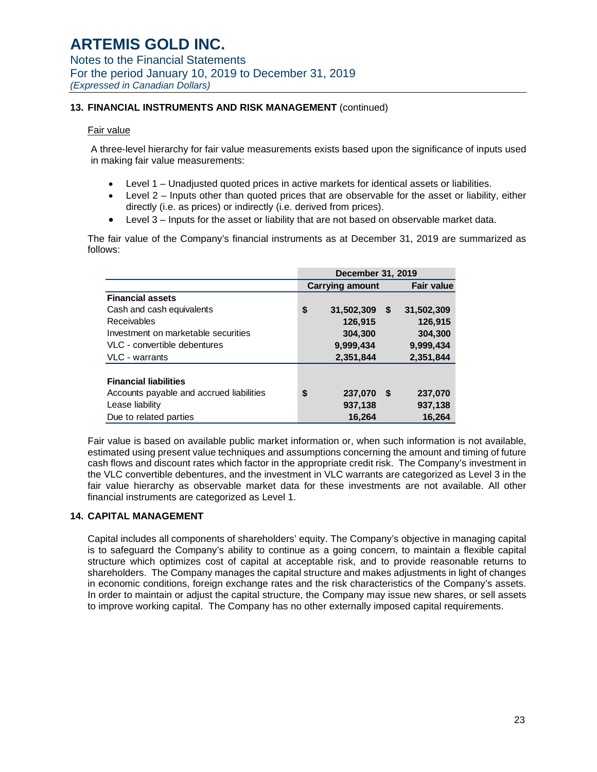## **13. FINANCIAL INSTRUMENTS AND RISK MANAGEMENT** (continued)

#### Fair value

A three-level hierarchy for fair value measurements exists based upon the significance of inputs used in making fair value measurements:

- Level 1 Unadjusted quoted prices in active markets for identical assets or liabilities.
- Level 2 Inputs other than quoted prices that are observable for the asset or liability, either directly (i.e. as prices) or indirectly (i.e. derived from prices).
- Level 3 Inputs for the asset or liability that are not based on observable market data.

The fair value of the Company's financial instruments as at December 31, 2019 are summarized as follows:

|                                          | December 31, 2019 |                        |          |                   |
|------------------------------------------|-------------------|------------------------|----------|-------------------|
|                                          |                   | <b>Carrying amount</b> |          | <b>Fair value</b> |
| <b>Financial assets</b>                  |                   |                        |          |                   |
| Cash and cash equivalents                | \$                | 31,502,309             | <b>S</b> | 31,502,309        |
| Receivables                              |                   | 126,915                |          | 126,915           |
| Investment on marketable securities      |                   | 304,300                |          | 304,300           |
| VLC - convertible debentures             |                   | 9,999,434              |          | 9,999,434         |
| VLC - warrants                           |                   | 2,351,844              |          | 2,351,844         |
|                                          |                   |                        |          |                   |
| <b>Financial liabilities</b>             |                   |                        |          |                   |
| Accounts payable and accrued liabilities | \$                | 237,070                | - \$     | 237,070           |
| Lease liability                          |                   | 937,138                |          | 937,138           |
| Due to related parties                   |                   | 16,264                 |          | 16,264            |

Fair value is based on available public market information or, when such information is not available, estimated using present value techniques and assumptions concerning the amount and timing of future cash flows and discount rates which factor in the appropriate credit risk. The Company's investment in the VLC convertible debentures, and the investment in VLC warrants are categorized as Level 3 in the fair value hierarchy as observable market data for these investments are not available. All other financial instruments are categorized as Level 1.

## **14. CAPITAL MANAGEMENT**

Capital includes all components of shareholders' equity. The Company's objective in managing capital is to safeguard the Company's ability to continue as a going concern, to maintain a flexible capital structure which optimizes cost of capital at acceptable risk, and to provide reasonable returns to shareholders. The Company manages the capital structure and makes adjustments in light of changes in economic conditions, foreign exchange rates and the risk characteristics of the Company's assets. In order to maintain or adjust the capital structure, the Company may issue new shares, or sell assets to improve working capital. The Company has no other externally imposed capital requirements.